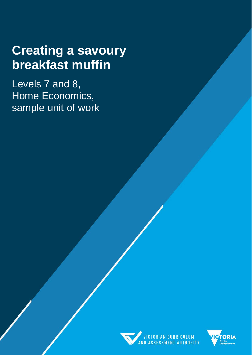# **Creating a savoury breakfast muffin**

Levels 7 and 8, Home Economics, sample unit of work



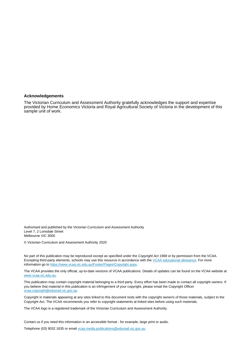#### **Acknowledgements**

The Victorian Curriculum and Assessment Authority gratefully acknowledges the support and expertise provided by Home Economics Victoria and Royal Agricultural Society of Victoria in the development of this sample unit of work.

Authorised and published by the Victorian Curriculum and Assessment Authority Level 7, 2 Lonsdale Street Melbourne VIC 3000

© Victorian Curriculum and Assessment Authority 2020

No part of this publication may be reproduced except as specified under the *Copyright Act 1968* or by permission from the VCAA. Excepting third-party elements, schools may use this resource in accordance with the [VCAA educational allowance.](https://www.vcaa.vic.edu.au/Footer/Pages/Copyright.aspx) For more information go t[o https://www.vcaa.vic.edu.au/Footer/Pages/Copyright.aspx.](https://www.vcaa.vic.edu.au/Footer/Pages/Copyright.aspx) 

The VCAA provides the only official, up-to-date versions of VCAA publications. Details of updates can be found on the VCAA website at [www.vcaa.vic.edu.au.](https://www.vcaa.vic.edu.au/Pages/HomePage.aspx)

This publication may contain copyright material belonging to a third party. Every effort has been made to contact all copyright owners. If you believe that material in this publication is an infringement of your copyright, please email the Copyright Officer [vcaa.copyright@edumail.vic.gov.au](mailto:vcaa.copyright@edumail.vic.gov.au)

Copyright in materials appearing at any sites linked to this document rests with the copyright owner/s of those materials, subject to the Copyright Act. The VCAA recommends you refer to copyright statements at linked sites before using such materials.

The VCAA logo is a registered trademark of the Victorian Curriculum and Assessment Authority.

Contact us if you need this information in an accessible format - for example, large print or audio.

Telephone (03) 9032 1635 or email [vcaa.media.publications@edumail.vic.gov.au](mailto:vcaa.media.publications@edumail.vic.gov.au)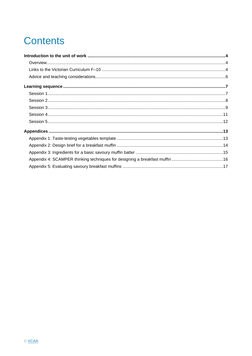## **Contents**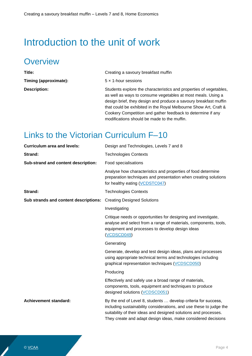## <span id="page-3-0"></span>Introduction to the unit of work

### <span id="page-3-1"></span>**Overview**

| Title:                | Creating a savoury breakfast muffin                                                                                                                                                                                                                                                                                                       |
|-----------------------|-------------------------------------------------------------------------------------------------------------------------------------------------------------------------------------------------------------------------------------------------------------------------------------------------------------------------------------------|
| Timing (approximate): | $5 \times 1$ -hour sessions                                                                                                                                                                                                                                                                                                               |
| <b>Description:</b>   | Students explore the characteristics and properties of vegetables,<br>as well as ways to consume vegetables at most meals. Using a<br>design brief, they design and produce a savoury breakfast muffin<br>that could be exhibited in the Royal Melbourne Show Art, Craft &<br>Cookery Competition and gather feedback to determine if any |

modifications should be made to the muffin.

### <span id="page-3-2"></span>Links to the Victorian Curriculum F–10

| <b>Curriculum area and levels:</b>    | Design and Technologies, Levels 7 and 8                                                                                                                                                                                                                                    |
|---------------------------------------|----------------------------------------------------------------------------------------------------------------------------------------------------------------------------------------------------------------------------------------------------------------------------|
| Strand:                               | <b>Technologies Contexts</b>                                                                                                                                                                                                                                               |
| Sub-strand and content description:   | Food specialisations                                                                                                                                                                                                                                                       |
|                                       | Analyse how characteristics and properties of food determine<br>preparation techniques and presentation when creating solutions<br>for healthy eating (VCDSTC047)                                                                                                          |
| Strand:                               | <b>Technologies Contexts</b>                                                                                                                                                                                                                                               |
| Sub strands and content descriptions: | <b>Creating Designed Solutions</b>                                                                                                                                                                                                                                         |
|                                       | Investigating                                                                                                                                                                                                                                                              |
|                                       | Critique needs or opportunities for designing and investigate,<br>analyse and select from a range of materials, components, tools,<br>equipment and processes to develop design ideas<br>(VCDSCD049)                                                                       |
|                                       | Generating                                                                                                                                                                                                                                                                 |
|                                       | Generate, develop and test design ideas, plans and processes<br>using appropriate technical terms and technologies including<br>graphical representation techniques (VCDSCD050)                                                                                            |
|                                       | Producing                                                                                                                                                                                                                                                                  |
|                                       | Effectively and safely use a broad range of materials,<br>components, tools, equipment and techniques to produce<br>designed solutions (VCDSCD051)                                                                                                                         |
| <b>Achievement standard:</b>          | By the end of Level 8, students  develop criteria for success,<br>including sustainability considerations, and use these to judge the<br>suitability of their ideas and designed solutions and processes.<br>They create and adapt design ideas, make considered decisions |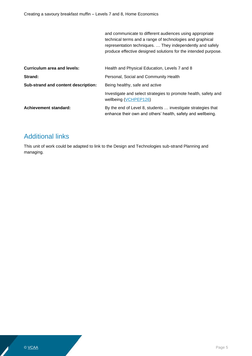and communicate to different audiences using appropriate technical terms and a range of technologies and graphical representation techniques. … They independently and safely produce effective designed solutions for the intended purpose.

| <b>Curriculum area and levels:</b>  | Health and Physical Education, Levels 7 and 8                                                                               |
|-------------------------------------|-----------------------------------------------------------------------------------------------------------------------------|
| Strand:                             | Personal, Social and Community Health                                                                                       |
| Sub-strand and content description: | Being healthy, safe and active                                                                                              |
|                                     | Investigate and select strategies to promote health, safety and<br>wellbeing (VCHPEP126)                                    |
| <b>Achievement standard:</b>        | By the end of Level 8, students  investigate strategies that<br>enhance their own and others' health, safety and wellbeing. |

#### Additional links

This unit of work could be adapted to link to the Design and Technologies sub-strand Planning and managing.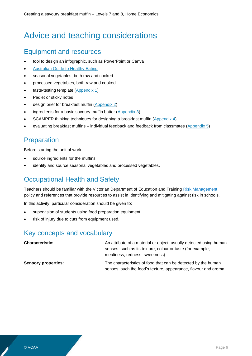### <span id="page-5-0"></span>Advice and teaching considerations

#### Equipment and resources

- tool to design an infographic, such as PowerPoint or Canva
- [Australian Guide to Healthy Eating](https://www.eatforhealth.gov.au/guidelines/australian-guide-healthy-eating)
- seasonal vegetables, both raw and cooked
- processed vegetables, both raw and cooked
- taste-testing template [\(Appendix 1\)](#page-12-2)
- Padlet or sticky notes
- design brief for breakfast muffin [\(Appendix 2\)](#page-13-1)
- ingredients for a basic savoury muffin batter [\(Appendix 3\)](#page-14-1)
- SCAMPER thinking techniques for designing a breakfast muffin [\(Appendix 4\)](#page-15-0)
- evaluating breakfast muffins individual feedback and feedback from classmates [\(Appendix 5\)](#page-16-1)

#### **Preparation**

Before starting the unit of work:

- source ingredients for the muffins
- identify and source seasonal vegetables and processed vegetables.

#### Occupational Health and Safety

Teachers should be familiar with the Victorian Department of Education and Training [Risk Management](http://www.education.vic.gov.au/school/principals/spag/governance/pages/risk.aspx) policy and references that provide resources to assist in identifying and mitigating against risk in schools.

In this activity, particular consideration should be given to:

- supervision of students using food preparation equipment
- risk of injury due to cuts from equipment used.

#### Key concepts and vocabulary

**Characteristic: An attribute of a material or object, usually detected using human** senses, such as its texture, colour or taste (for example, mealiness, redness, sweetness) **Sensory properties:** The characteristics of food that can be detected by the human senses, such the food's texture, appearance, flavour and aroma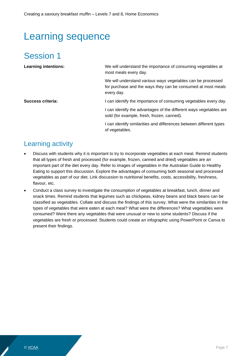## <span id="page-6-0"></span>Learning sequence

### <span id="page-6-1"></span>Session 1

| <b>Learning intentions:</b> | We will understand the importance of consuming vegetables at<br>most meals every day.                                                     |
|-----------------------------|-------------------------------------------------------------------------------------------------------------------------------------------|
|                             | We will understand various ways vegetables can be processed<br>for purchase and the ways they can be consumed at most meals<br>every day. |
| Success criteria:           | I can identify the importance of consuming vegetables every day.                                                                          |
|                             | I can identify the advantages of the different ways vegetables are<br>sold (for example, fresh, frozen, canned).                          |
|                             | I can identify similarities and differences between different types<br>of vegetables.                                                     |

- Discuss with students why it is important to try to incorporate vegetables at each meal. Remind students that all types of fresh and processed (for example, frozen, canned and dried) vegetables are an important part of the diet every day. Refer to images of vegetables in the Australian Guide to Healthy Eating to support this discussion. Explore the advantages of consuming both seasonal and processed vegetables as part of our diet. Link discussion to nutritional benefits, costs, accessibility, freshness, flavour, etc.
- Conduct a class survey to investigate the consumption of vegetables at breakfast, lunch, dinner and snack times. Remind students that legumes such as chickpeas, kidney beans and black beans can be classified as vegetables. Collate and discuss the findings of this survey. What were the similarities in the types of vegetables that were eaten at each meal? What were the differences? What vegetables were consumed? Were there any vegetables that were unusual or new to some students? Discuss if the vegetables are fresh or processed. Students could create an infographic using PowerPoint or Canva to present their findings.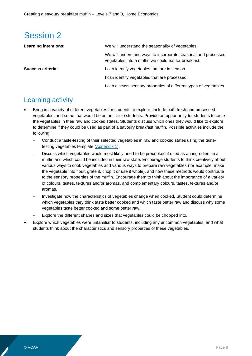<span id="page-7-0"></span>

| <b>Learning intentions:</b> | We will understand the seasonality of vegetables.                                                                     |
|-----------------------------|-----------------------------------------------------------------------------------------------------------------------|
|                             | We will understand ways to incorporate seasonal and processed<br>vegetables into a muffin we could eat for breakfast. |
| Success criteria:           | can identify vegetables that are in season.                                                                           |
|                             | I can identify vegetables that are processed.                                                                         |
|                             | I can discuss sensory properties of different types of vegetables.                                                    |

- Bring in a variety of different vegetables for students to explore. Include both fresh and processed vegetables, and some that would be unfamiliar to students. Provide an opportunity for students to taste the vegetables in their raw and cooked states. Students discuss which ones they would like to explore to determine if they could be used as part of a savoury breakfast muffin. Possible activities include the following:
	- − Conduct a taste-testing of their selected vegetables in raw and cooked states using the tastetesting vegetables template [\(Appendix 1\)](#page-12-2).
	- Discuss which vegetables would most likely need to be precooked if used as an ingredient in a muffin and which could be included in their raw state. Encourage students to think creatively about various ways to cook vegetables and various ways to prepare raw vegetables (for example, make the vegetable into flour, grate it, chop it or use it whole), and how these methods would contribute to the sensory properties of the muffin. Encourage them to think about the importance of a variety of colours, tastes, textures and/or aromas, and complementary colours, tastes, textures and/or aromas.
	- Investigate how the characteristics of vegetables change when cooked. Student could determine which vegetables they think taste better cooked and which taste better raw and discuss why some vegetables taste better cooked and some better raw.
	- Explore the different shapes and sizes that vegetables could be chopped into.
- Explore which vegetables were unfamiliar to students, including any uncommon vegetables, and what students think about the characteristics and sensory properties of these vegetables.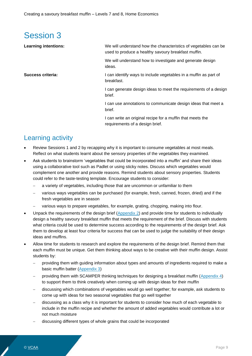<span id="page-8-0"></span>

| <b>Learning intentions:</b><br>used to produce a healthy savoury breakfast muffin.<br>We will understand how to investigate and generate design<br>ideas.<br>Success criteria:<br>I can identify ways to include vegetables in a muffin as part of<br>breakfast.<br>brief.<br>brief.<br>I can write an original recipe for a muffin that meets the |                                                                  |
|----------------------------------------------------------------------------------------------------------------------------------------------------------------------------------------------------------------------------------------------------------------------------------------------------------------------------------------------------|------------------------------------------------------------------|
|                                                                                                                                                                                                                                                                                                                                                    | We will understand how the characteristics of vegetables can be  |
|                                                                                                                                                                                                                                                                                                                                                    |                                                                  |
|                                                                                                                                                                                                                                                                                                                                                    |                                                                  |
|                                                                                                                                                                                                                                                                                                                                                    | I can generate design ideas to meet the requirements of a design |
|                                                                                                                                                                                                                                                                                                                                                    | I can use annotations to communicate design ideas that meet a    |
| requirements of a design brief.                                                                                                                                                                                                                                                                                                                    |                                                                  |

- Review Sessions 1 and 2 by recapping why it is important to consume vegetables at most meals. Reflect on what students learnt about the sensory properties of the vegetables they examined.
- Ask students to brainstorm 'vegetables that could be incorporated into a muffin' and share their ideas using a collaborative tool such as Padlet or using sticky notes. Discuss which vegetables would complement one another and provide reasons. Remind students about sensory properties. Students could refer to the taste-testing template. Encourage students to consider:
	- a variety of vegetables, including those that are uncommon or unfamiliar to them
	- − various ways vegetables can be purchased (for example, fresh, canned, frozen, dried) and if the fresh vegetables are in season
	- various ways to prepare vegetables, for example, grating, chopping, making into flour.
- Unpack the requirements of the design brief  $(Appendix 2)$  and provide time for students to individually design a healthy savoury breakfast muffin that meets the requirement of the brief. Discuss with students what criteria could be used to determine success according to the requirements of the design brief. Ask them to develop at least four criteria for success that can be used to judge the suitability of their design ideas and muffins.
- Allow time for students to research and explore the requirements of the design brief. Remind them that each muffin must be unique. Get them thinking about ways to be creative with their muffin design. Assist students by:
	- providing them with guiding information about types and amounts of ingredients required to make a basic muffin batter [\(Appendix 3\)](#page-14-1)
	- − providing them with SCAMPER thinking techniques for designing a breakfast muffin [\(Appendix 4\)](#page-15-0) to support them to think creatively when coming up with design ideas for their muffin
	- − discussing which combinations of vegetables would go well together; for example, ask students to come up with ideas for two seasonal vegetables that go well together
	- − discussing as a class why it is important for students to consider how much of each vegetable to include in the muffin recipe and whether the amount of added vegetables would contribute a lot or not much moisture
	- − discussing different types of whole grains that could be incorporated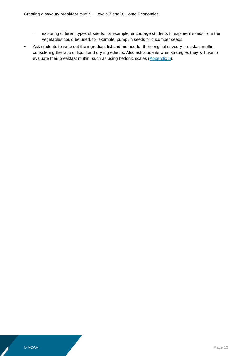- − exploring different types of seeds; for example, encourage students to explore if seeds from the vegetables could be used, for example, pumpkin seeds or cucumber seeds.
- Ask students to write out the ingredient list and method for their original savoury breakfast muffin, considering the ratio of liquid and dry ingredients. Also ask students what strategies they will use to evaluate their breakfast muffin, such as using hedonic scales [\(Appendix 5\)](#page-16-1).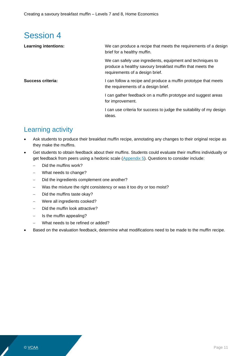<span id="page-10-0"></span>

| We can produce a recipe that meets the requirements of a design<br>brief for a healthy muffin.                                                             |
|------------------------------------------------------------------------------------------------------------------------------------------------------------|
| We can safely use ingredients, equipment and techniques to<br>produce a healthy savoury breakfast muffin that meets the<br>requirements of a design brief. |
| I can follow a recipe and produce a muffin prototype that meets<br>the requirements of a design brief.                                                     |
| I can gather feedback on a muffin prototype and suggest areas<br>for improvement.                                                                          |
| I can use criteria for success to judge the suitability of my design<br>ideas.                                                                             |
|                                                                                                                                                            |

- Ask students to produce their breakfast muffin recipe, annotating any changes to their original recipe as they make the muffins.
- Get students to obtain feedback about their muffins. Students could evaluate their muffins individually or get feedback from peers using a hedonic scale [\(Appendix 5\)](#page-16-1). Questions to consider include:
	- − Did the muffins work?
	- − What needs to change?
	- − Did the ingredients complement one another?
	- − Was the mixture the right consistency or was it too dry or too moist?
	- − Did the muffins taste okay?
	- − Were all ingredients cooked?
	- Did the muffin look attractive?
	- − Is the muffin appealing?
	- − What needs to be refined or added?
- Based on the evaluation feedback, determine what modifications need to be made to the muffin recipe.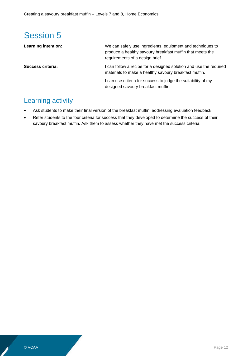<span id="page-11-0"></span>

| <b>Learning intention:</b> | We can safely use ingredients, equipment and techniques to<br>produce a healthy savoury breakfast muffin that meets the<br>requirements of a design brief. |
|----------------------------|------------------------------------------------------------------------------------------------------------------------------------------------------------|
| Success criteria:          | I can follow a recipe for a designed solution and use the required<br>materials to make a healthy savoury breakfast muffin.                                |
|                            | I can use criteria for success to judge the suitability of my<br>designed savoury breakfast muffin.                                                        |

- Ask students to make their final version of the breakfast muffin, addressing evaluation feedback.
- Refer students to the four criteria for success that they developed to determine the success of their savoury breakfast muffin. Ask them to assess whether they have met the success criteria.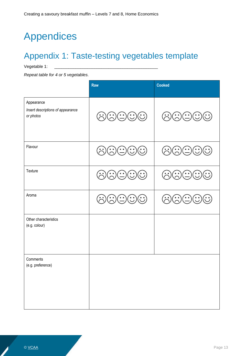## <span id="page-12-0"></span>Appendices

## <span id="page-12-2"></span><span id="page-12-1"></span>Appendix 1: Taste-testing vegetables template

Vegetable 1:

*Repeat table for 4 or 5 vegetables.*

|                                                              | <b>Raw</b>                                                         | <b>Cooked</b>                                                                                                                   |
|--------------------------------------------------------------|--------------------------------------------------------------------|---------------------------------------------------------------------------------------------------------------------------------|
| Appearance<br>Insert descriptions of appearance<br>or photos | ⓒ☺☺☺☺                                                              | ④(೧)⊙(0)<br>$(\ddot{\bm{\cdot}}% )^{2n}$                                                                                        |
| Flavour                                                      | ⓒⓒ☺☺☺                                                              | ⓒ♡♡♡♡                                                                                                                           |
| Texture                                                      | ⓒⓒ↔↔↔                                                              | $\dot{\mathbf{C}}$                                                                                                              |
| Aroma                                                        | $\mathbb{G}(\mathbb{C})(\mathbb{C})$<br>$\left(\ddot{\sim}\right)$ | $\widehat{\left(\cdot\right)}\widehat{\left(\cdot\right)}\widehat{\left(\cdot\right)}\widehat{\left(\cdot\right)}$<br>$(\cdot)$ |
| Other characteristics<br>(e.g. colour)                       |                                                                    |                                                                                                                                 |
| Comments<br>(e.g. preference)                                |                                                                    |                                                                                                                                 |
|                                                              |                                                                    |                                                                                                                                 |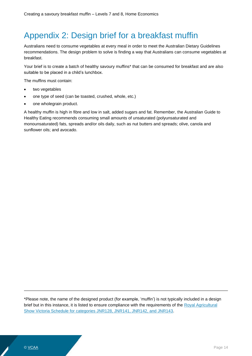### <span id="page-13-1"></span><span id="page-13-0"></span>Appendix 2: Design brief for a breakfast muffin

Australians need to consume vegetables at every meal in order to meet the Australian Dietary Guidelines recommendations. The design problem to solve is finding a way that Australians can consume vegetables at breakfast.

Your brief is to create a batch of healthy savoury muffins\* that can be consumed for breakfast and are also suitable to be placed in a child's lunchbox.

The muffins must contain:

- two vegetables
- one type of seed (can be toasted, crushed, whole, etc.)
- one wholegrain product.

A healthy muffin is high in fibre and low in salt, added sugars and fat. Remember, the Australian Guide to Healthy Eating recommends consuming small amounts of unsaturated (polyunsaturated and monounsaturated) fats, spreads and/or oils daily, such as nut butters and spreads; olive, canola and sunflower oils; and avocado.

\*Please note, the name of the designed product (for example, 'muffin') is not typically included in a design brief but in this instance, it is listed to ensure compliance with the requirements of the Royal Agricultural [Show Victoria Schedule for categories JNR128, JNR141, JNR142, and JNR143.](https://www.rasv.com.au/media/4154/0212-rms-art-craft-and-cookery-schedule-10.pdf)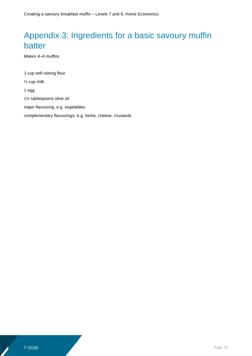### <span id="page-14-1"></span><span id="page-14-0"></span>Appendix 3: Ingredients for a basic savoury muffin batter

*Makes 4–6 muffins*

1 cup self-raising flour ½ cup milk 1 egg 1½ tablespoons olive oil major flavouring, e.g. vegetables complementary flavourings, e.g. herbs, cheese, mustards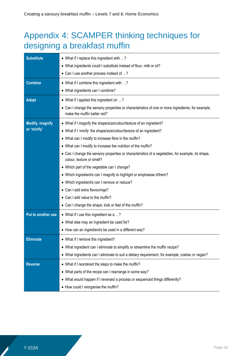### <span id="page-15-0"></span>Appendix 4: SCAMPER thinking techniques for designing a breakfast muffin

| <b>Substitute</b>      | • What if I replace this ingredient with ?<br>• What ingredients could I substitute instead of flour, milk or oil?               |
|------------------------|----------------------------------------------------------------------------------------------------------------------------------|
|                        | • Can I use another process instead of ?                                                                                         |
| <b>Combine</b>         | • What if I combine this ingredient with ?                                                                                       |
|                        | • What ingredients can I combine?                                                                                                |
| <b>Adapt</b>           | • What if I applied this ingredient on ?                                                                                         |
|                        | • Can I change the sensory properties or characteristics of one or more ingredients, for example,<br>make the muffin batter red? |
| <b>Modify, magnify</b> | • What if I magnify the shape/size/colour/texture of an ingredient?                                                              |
| or 'minify'            | • What if I 'minify' the shape/size/colour/texture of an ingredient?                                                             |
|                        | • What can I modify to increase fibre in the muffin?                                                                             |
|                        | • What can I modify to increase the nutrition of the muffin?                                                                     |
|                        | • Can I change the sensory properties or characteristics of a vegetables, for example, its shape,<br>colour, texture or smell?   |
|                        | • Which part of the vegetable can I change?                                                                                      |
|                        | • Which ingredient/s can I magnify to highlight or emphasise it/them?                                                            |
|                        | • Which ingredient/s can I remove or reduce?                                                                                     |
|                        | • Can I add extra flavourings?                                                                                                   |
|                        | • Can I add value to the muffin?                                                                                                 |
|                        | • Can I change the shape, look or feel of the muffin?                                                                            |
| Put to another use     | • What if I use this ingredient as a ?                                                                                           |
|                        | • What else may an ingredient be used for?                                                                                       |
|                        | • How can an ingredient/s be used in a different way?                                                                            |
| <b>Eliminate</b>       | • What if I remove this ingredient?                                                                                              |
|                        | • What ingredient can I eliminate to simplify or streamline the muffin recipe?                                                   |
|                        | • What ingredients can I eliminate to suit a dietary requirement, for example, coeliac or vegan?                                 |
| <b>Reverse</b>         | • What if I reordered the steps to make the muffin?                                                                              |
|                        | • What parts of the recipe can I rearrange in some way?                                                                          |
|                        | • What would happen if I reversed a process or sequenced things differently?                                                     |
|                        | • How could I reorganise the muffin?                                                                                             |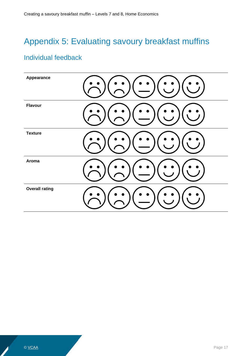### <span id="page-16-1"></span><span id="page-16-0"></span>Appendix 5: Evaluating savoury breakfast muffins

#### Individual feedback

| Appearance            |  |
|-----------------------|--|
| <b>Flavour</b>        |  |
| <b>Texture</b>        |  |
| Aroma                 |  |
| <b>Overall rating</b> |  |